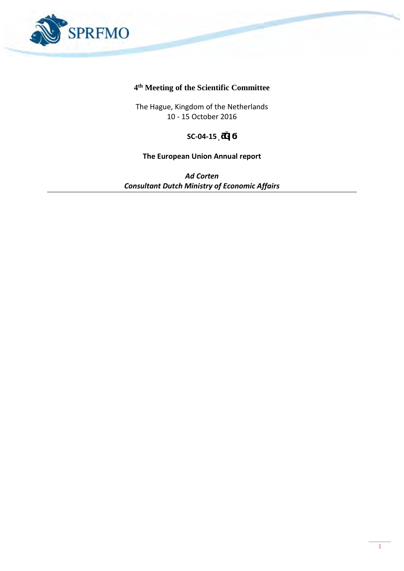

## **4 th Meeting of the Scientific Committee**

The Hague, Kingdom of the Netherlands 10 - 15 October 2016

## **SC-04-15ͺƌĞǀϭ**

## **The European Union Annual report**

*Ad Corten Consultant Dutch Ministry of Economic Affairs*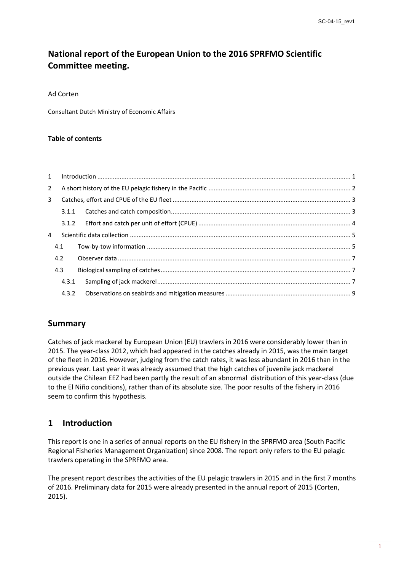# **National report of the European Union to the 2016 SPRFMO Scientific Committee meeting.**

Ad Corten

Consultant Dutch Ministry of Economic Affairs

#### **Table of contents**

| $2^{\circ}$ |       |  |
|-------------|-------|--|
| 3           |       |  |
|             |       |  |
|             |       |  |
| 4           |       |  |
|             | 4.1   |  |
|             | 4.2   |  |
|             | 4.3   |  |
|             | 4.3.1 |  |
|             | 4.3.2 |  |

## **Summary**

Catches of jack mackerel by European Union (EU) trawlers in 2016 were considerably lower than in 2015. The year-class 2012, which had appeared in the catches already in 2015, was the main target of the fleet in 2016. However, judging from the catch rates, it was less abundant in 2016 than in the previous year. Last year it was already assumed that the high catches of juvenile jack mackerel outside the Chilean EEZ had been partly the result of an abnormal distribution of this year-class (due to the El Niño conditions), rather than of its absolute size. The poor results of the fishery in 2016 seem to confirm this hypothesis.

## <span id="page-1-0"></span>**1 Introduction**

This report is one in a series of annual reports on the EU fishery in the SPRFMO area (South Pacific Regional Fisheries Management Organization) since 2008. The report only refers to the EU pelagic trawlers operating in the SPRFMO area.

The present report describes the activities of the EU pelagic trawlers in 2015 and in the first 7 months of 2016. Preliminary data for 2015 were already presented in the annual report of 2015 (Corten, 2015).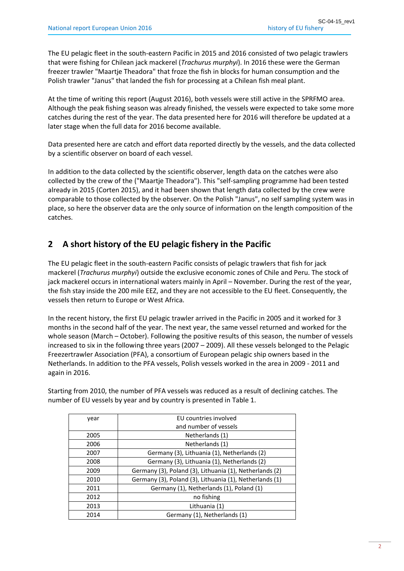The EU pelagic fleet in the south-eastern Pacific in 2015 and 2016 consisted of two pelagic trawlers that were fishing for Chilean jack mackerel (*Trachurus murphyi*). In 2016 these were the German freezer trawler "Maartje Theadora" that froze the fish in blocks for human consumption and the Polish trawler "Janus" that landed the fish for processing at a Chilean fish meal plant.

At the time of writing this report (August 2016), both vessels were still active in the SPRFMO area. Although the peak fishing season was already finished, the vessels were expected to take some more catches during the rest of the year. The data presented here for 2016 will therefore be updated at a later stage when the full data for 2016 become available.

Data presented here are catch and effort data reported directly by the vessels, and the data collected by a scientific observer on board of each vessel.

In addition to the data collected by the scientific observer, length data on the catches were also collected by the crew of the ("Maartje Theadora"). This "self-sampling programme had been tested already in 2015 (Corten 2015), and it had been shown that length data collected by the crew were comparable to those collected by the observer. On the Polish "Janus", no self sampling system was in place, so here the observer data are the only source of information on the length composition of the catches.

## <span id="page-2-0"></span>**2 A short history of the EU pelagic fishery in the Pacific**

The EU pelagic fleet in the south-eastern Pacific consists of pelagic trawlers that fish for jack mackerel (*Trachurus murphyi*) outside the exclusive economic zones of Chile and Peru. The stock of jack mackerel occurs in international waters mainly in April – November. During the rest of the year, the fish stay inside the 200 mile EEZ, and they are not accessible to the EU fleet. Consequently, the vessels then return to Europe or West Africa.

In the recent history, the first EU pelagic trawler arrived in the Pacific in 2005 and it worked for 3 months in the second half of the year. The next year, the same vessel returned and worked for the whole season (March – October). Following the positive results of this season, the number of vessels increased to six in the following three years (2007 – 2009). All these vessels belonged to the Pelagic Freezertrawler Association (PFA), a consortium of European pelagic ship owners based in the Netherlands. In addition to the PFA vessels, Polish vessels worked in the area in 2009 - 2011 and again in 2016.

Starting from 2010, the number of PFA vessels was reduced as a result of declining catches. The number of EU vessels by year and by country is presented in Table 1.

| year | EU countries involved                                   |  |  |
|------|---------------------------------------------------------|--|--|
|      | and number of vessels                                   |  |  |
| 2005 | Netherlands (1)                                         |  |  |
| 2006 | Netherlands (1)                                         |  |  |
| 2007 | Germany (3), Lithuania (1), Netherlands (2)             |  |  |
| 2008 | Germany (3), Lithuania (1), Netherlands (2)             |  |  |
| 2009 | Germany (3), Poland (3), Lithuania (1), Netherlands (2) |  |  |
| 2010 | Germany (3), Poland (3), Lithuania (1), Netherlands (1) |  |  |
| 2011 | Germany (1), Netherlands (1), Poland (1)                |  |  |
| 2012 | no fishing                                              |  |  |
| 2013 | Lithuania (1)                                           |  |  |
| 2014 | Germany (1), Netherlands (1)                            |  |  |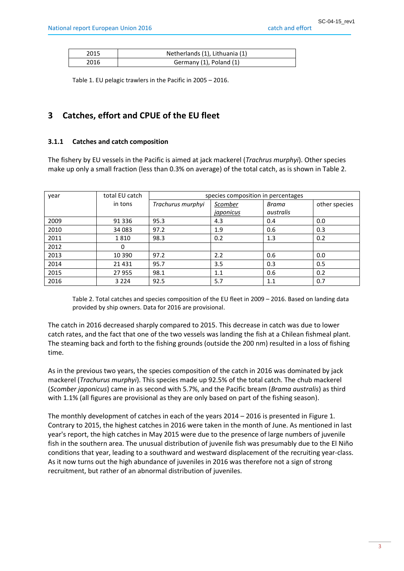|  | catch and effor |
|--|-----------------|
|  |                 |

| 2015 | Netherlands (1), Lithuania (1) |
|------|--------------------------------|
| 2016 | Germany (1), Poland (1)        |

Table 1. EU pelagic trawlers in the Pacific in 2005 – 2016.

## <span id="page-3-0"></span>**3 Catches, effort and CPUE of the EU fleet**

### <span id="page-3-1"></span>**3.1.1 Catches and catch composition**

The fishery by EU vessels in the Pacific is aimed at jack mackerel (*Trachrus murphyi*). Other species make up only a small fraction (less than 0.3% on average) of the total catch, as is shown in Table 2.

| year | total EU catch | species composition in percentages |                |           |               |
|------|----------------|------------------------------------|----------------|-----------|---------------|
|      | in tons        | Trachurus murphyi                  | <u>Scomber</u> | Brama     | other species |
|      |                |                                    | japonicus      | australis |               |
| 2009 | 91 336         | 95.3                               | 4.3            | 0.4       | 0.0           |
| 2010 | 34 083         | 97.2                               | 1.9            | 0.6       | 0.3           |
| 2011 | 1810           | 98.3                               | 0.2            | 1.3       | 0.2           |
| 2012 | 0              |                                    |                |           |               |
| 2013 | 10 3 90        | 97.2                               | 2.2            | 0.6       | 0.0           |
| 2014 | 21 4 31        | 95.7                               | 3.5            | 0.3       | 0.5           |
| 2015 | 27 955         | 98.1                               | 1.1            | 0.6       | 0.2           |
| 2016 | 3 2 2 4        | 92.5                               | 5.7            | 1.1       | 0.7           |

Table 2. Total catches and species composition of the EU fleet in 2009 – 2016. Based on landing data provided by ship owners. Data for 2016 are provisional.

The catch in 2016 decreased sharply compared to 2015. This decrease in catch was due to lower catch rates, and the fact that one of the two vessels was landing the fish at a Chilean fishmeal plant. The steaming back and forth to the fishing grounds (outside the 200 nm) resulted in a loss of fishing time.

As in the previous two years, the species composition of the catch in 2016 was dominated by jack mackerel (*Trachurus murphyi*). This species made up 92.5% of the total catch. The chub mackerel (*Scomber japonicus*) came in as second with 5.7%, and the Pacific bream (*Brama australis*) as third with 1.1% (all figures are provisional as they are only based on part of the fishing season).

The monthly development of catches in each of the years 2014 – 2016 is presented in Figure 1. Contrary to 2015, the highest catches in 2016 were taken in the month of June. As mentioned in last year's report, the high catches in May 2015 were due to the presence of large numbers of juvenile fish in the southern area. The unusual distribution of juvenile fish was presumably due to the El Niño conditions that year, leading to a southward and westward displacement of the recruiting year-class. As it now turns out the high abundance of juveniles in 2016 was therefore not a sign of strong recruitment, but rather of an abnormal distribution of juveniles.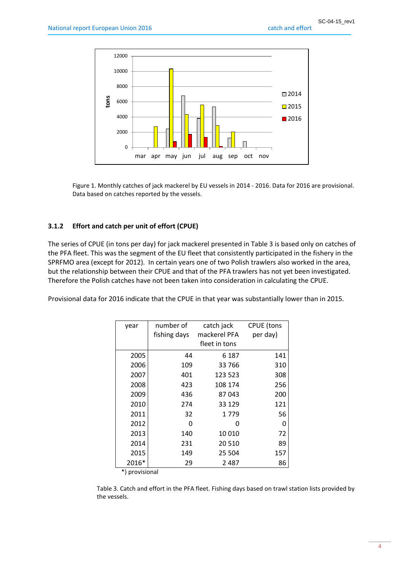

Figure 1. Monthly catches of jack mackerel by EU vessels in 2014 - 2016. Data for 2016 are provisional. Data based on catches reported by the vessels.

## <span id="page-4-0"></span>**3.1.2 Effort and catch per unit of effort (CPUE)**

The series of CPUE (in tons per day) for jack mackerel presented in Table 3 is based only on catches of the PFA fleet. This was the segment of the EU fleet that consistently participated in the fishery in the SPRFMO area (except for 2012). In certain years one of two Polish trawlers also worked in the area, but the relationship between their CPUE and that of the PFA trawlers has not yet been investigated. Therefore the Polish catches have not been taken into consideration in calculating the CPUE.

Provisional data for 2016 indicate that the CPUE in that year was substantially lower than in 2015.

| year           | number of<br>catch jack      |               | <b>CPUE</b> (tons |  |
|----------------|------------------------------|---------------|-------------------|--|
|                | mackerel PFA<br>fishing days |               | per day)          |  |
|                |                              | fleet in tons |                   |  |
| 2005           | 44                           | 6 187         | 141               |  |
| 2006           | 109                          | 33 766        | 310               |  |
| 2007           | 401                          | 123 523       | 308               |  |
| 2008           | 423                          | 108 174       | 256               |  |
| 2009           | 436                          | 87043         | 200               |  |
| 2010           | 274                          | 33 1 29       | 121               |  |
| 2011           | 32                           | 1779          | 56                |  |
| 2012           | 0                            | O             | 0                 |  |
| 2013           | 140                          | 10010         | 72                |  |
| 2014           | 231                          | 20510         | 89                |  |
| 2015           | 149                          | 25 504        | 157               |  |
| 2016*<br>۹ مله | 29                           | 2 4 8 7       | 86                |  |

\*) provisional

Table 3. Catch and effort in the PFA fleet. Fishing days based on trawl station lists provided by the vessels.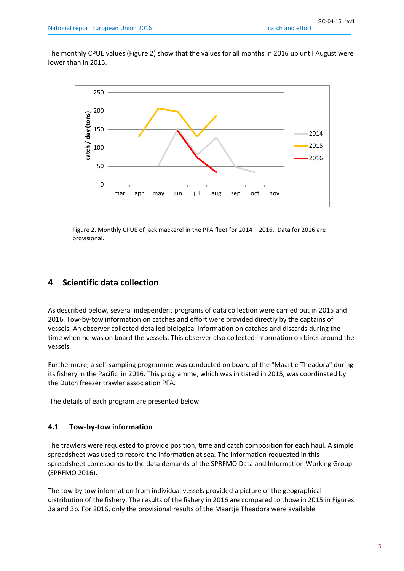The monthly CPUE values (Figure 2) show that the values for all months in 2016 up until August were lower than in 2015.



Figure 2. Monthly CPUE of jack mackerel in the PFA fleet for 2014 – 2016. Data for 2016 are provisional.

## <span id="page-5-0"></span>**4 Scientific data collection**

As described below, several independent programs of data collection were carried out in 2015 and 2016. Tow-by-tow information on catches and effort were provided directly by the captains of vessels. An observer collected detailed biological information on catches and discards during the time when he was on board the vessels. This observer also collected information on birds around the vessels.

Furthermore, a self-sampling programme was conducted on board of the "Maartje Theadora" during its fishery in the Pacific in 2016. This programme, which was initiated in 2015, was coordinated by the Dutch freezer trawler association PFA.

The details of each program are presented below.

#### <span id="page-5-1"></span>**4.1 Tow-by-tow information**

The trawlers were requested to provide position, time and catch composition for each haul. A simple spreadsheet was used to record the information at sea. The information requested in this spreadsheet corresponds to the data demands of the SPRFMO Data and Information Working Group (SPRFMO 2016).

The tow-by tow information from individual vessels provided a picture of the geographical distribution of the fishery. The results of the fishery in 2016 are compared to those in 2015 in Figures 3a and 3b. For 2016, only the provisional results of the Maartje Theadora were available.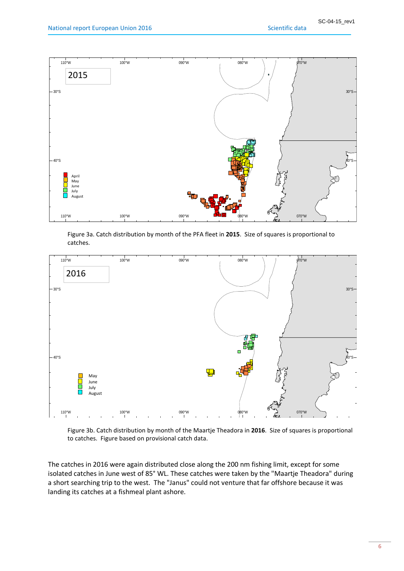

Figure 3a. Catch distribution by month of the PFA fleet in **2015**. Size of squares is proportional to catches.



Figure 3b. Catch distribution by month of the Maartje Theadora in **2016**. Size of squares is proportional to catches. Figure based on provisional catch data.

The catches in 2016 were again distributed close along the 200 nm fishing limit, except for some isolated catches in June west of 85° WL. These catches were taken by the "Maartje Theadora" during a short searching trip to the west. The "Janus" could not venture that far offshore because it was landing its catches at a fishmeal plant ashore.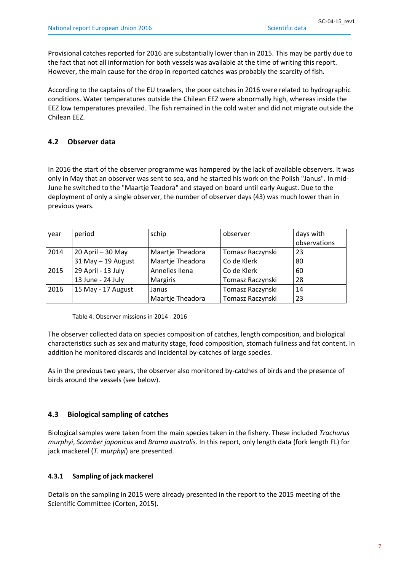Provisional catches reported for 2016 are substantially lower than in 2015. This may be partly due to the fact that not all information for both vessels was available at the time of writing this report. However, the main cause for the drop in reported catches was probably the scarcity of fish.

According to the captains of the EU trawlers, the poor catches in 2016 were related to hydrographic conditions. Water temperatures outside the Chilean EEZ were abnormally high, whereas inside the EEZ low temperatures prevailed. The fish remained in the cold water and did not migrate outside the Chilean EEZ.

## <span id="page-7-0"></span>**4.2 Observer data**

In 2016 the start of the observer programme was hampered by the lack of available observers. It was only in May that an observer was sent to sea, and he started his work on the Polish "Janus". In mid-June he switched to the "Maartje Teadora" and stayed on board until early August. Due to the deployment of only a single observer, the number of observer days (43) was much lower than in previous years.

| year | period             | schip            | observer         | days with    |
|------|--------------------|------------------|------------------|--------------|
|      |                    |                  |                  | observations |
| 2014 | 20 April - 30 May  | Maartje Theadora | Tomasz Raczynski | 23           |
|      | 31 May - 19 August | Maartje Theadora | Co de Klerk      | 80           |
| 2015 | 29 April - 13 July | Annelies Ilena   | Co de Klerk      | 60           |
|      | 13 June - 24 July  | Margiris         | Tomasz Raczynski | 28           |
| 2016 | 15 May - 17 August | Janus            | Tomasz Raczynski | 14           |
|      |                    | Maartje Theadora | Tomasz Raczynski | 23           |

Table 4. Observer missions in 2014 - 2016

The observer collected data on species composition of catches, length composition, and biological characteristics such as sex and maturity stage, food composition, stomach fullness and fat content. In addition he monitored discards and incidental by-catches of large species.

As in the previous two years, the observer also monitored by-catches of birds and the presence of birds around the vessels (see below).

## <span id="page-7-1"></span>**4.3 Biological sampling of catches**

Biological samples were taken from the main species taken in the fishery. These included *Trachurus murphyi*, *Scomber japonicus* and *Brama australis*. In this report, only length data (fork length FL) for jack mackerel (*T. murphyi*) are presented.

## <span id="page-7-2"></span>**4.3.1 Sampling of jack mackerel**

Details on the sampling in 2015 were already presented in the report to the 2015 meeting of the Scientific Committee (Corten, 2015).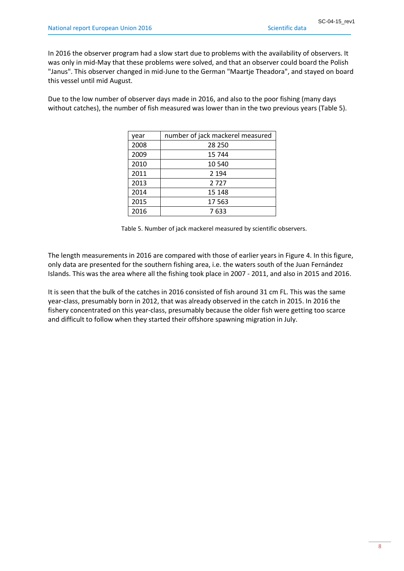In 2016 the observer program had a slow start due to problems with the availability of observers. It was only in mid-May that these problems were solved, and that an observer could board the Polish "Janus". This observer changed in mid-June to the German "Maartje Theadora", and stayed on board this vessel until mid August.

Due to the low number of observer days made in 2016, and also to the poor fishing (many days without catches), the number of fish measured was lower than in the two previous years (Table 5).

| year | number of jack mackerel measured |  |
|------|----------------------------------|--|
| 2008 | 28 250                           |  |
| 2009 | 15 744                           |  |
| 2010 | 10 540                           |  |
| 2011 | 2 1 9 4                          |  |
| 2013 | 2727                             |  |
| 2014 | 15 148                           |  |
| 2015 | 17 5 63                          |  |
| 2016 | 7 633                            |  |

Table 5. Number of jack mackerel measured by scientific observers.

The length measurements in 2016 are compared with those of earlier years in Figure 4. In this figure, only data are presented for the southern fishing area, i.e. the waters south of the Juan Fernández Islands. This was the area where all the fishing took place in 2007 - 2011, and also in 2015 and 2016.

It is seen that the bulk of the catches in 2016 consisted of fish around 31 cm FL. This was the same year-class, presumably born in 2012, that was already observed in the catch in 2015. In 2016 the fishery concentrated on this year-class, presumably because the older fish were getting too scarce and difficult to follow when they started their offshore spawning migration in July.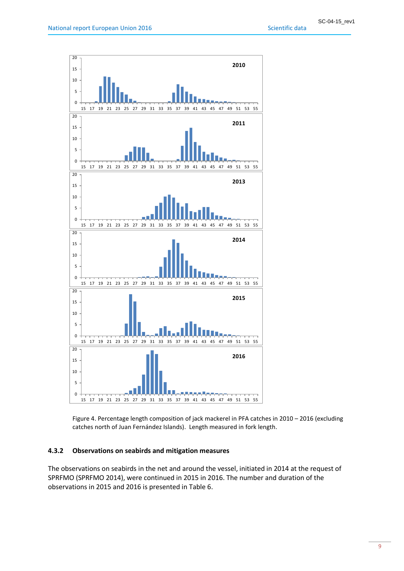

Figure 4. Percentage length composition of jack mackerel in PFA catches in 2010 – 2016 (excluding catches north of Juan Fernández Islands). Length measured in fork length.

## <span id="page-9-0"></span>**4.3.2 Observations on seabirds and mitigation measures**

The observations on seabirds in the net and around the vessel, initiated in 2014 at the request of SPRFMO (SPRFMO 2014), were continued in 2015 in 2016. The number and duration of the observations in 2015 and 2016 is presented in Table 6.